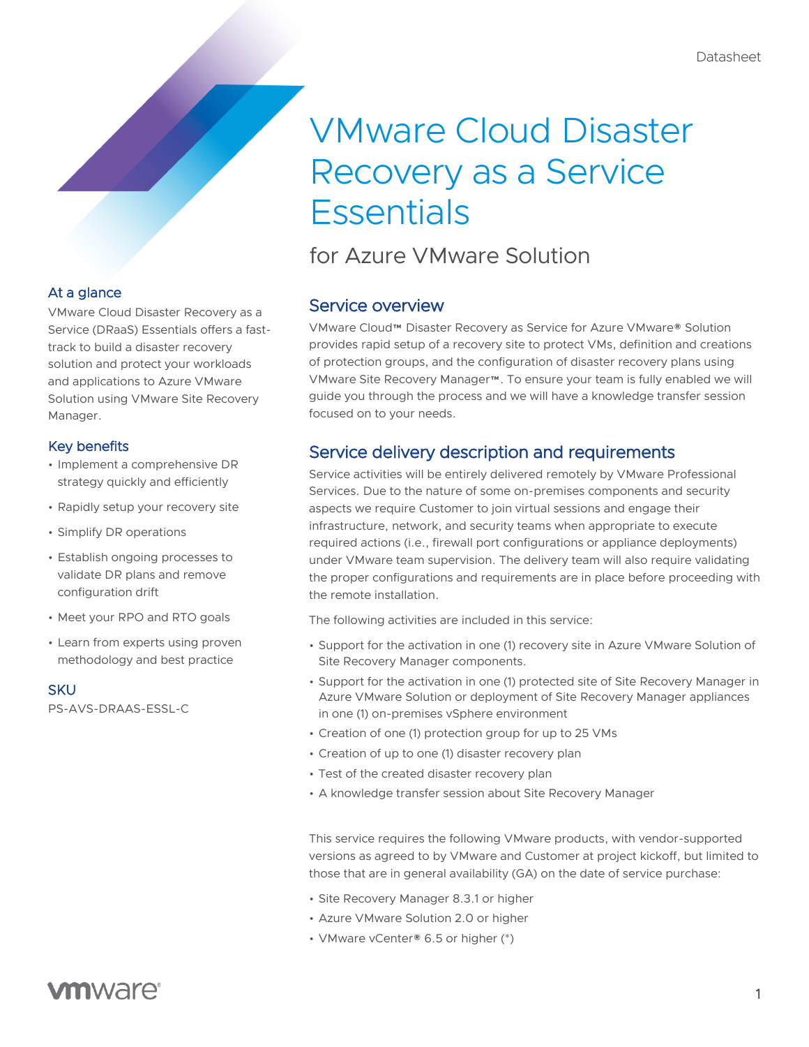# VMware Cloud Disaster Recovery as a Service **Essentials**

for Azure VMware Solution

## Service overview

VMware Cloud™ Disaster Recovery as Service for Azure VMware® Solution provides rapid setup of a recovery site to protect VMs, definition and creations of protection groups, and the configuration of disaster recovery plans using VMware Site Recovery Manager™. To ensure your team is fully enabled we will guide you through the process and we will have a knowledge transfer session focused on to your needs.

## Service delivery description and requirements

Service activities will be entirely delivered remotely by VMware Professional Services. Due to the nature of some on-premises components and security aspects we require Customer to join virtual sessions and engage their infrastructure, network, and security teams when appropriate to execute required actions (i.e., firewall port configurations or appliance deployments) under VMware team supervision. The delivery team will also require validating the proper configurations and requirements are in place before proceeding with the remote installation.

The following activities are included in this service:

- Support for the activation in one (1) recovery site in Azure VMware Solution of Site Recovery Manager components.
- Support for the activation in one (1) protected site of Site Recovery Manager in Azure VMware Solution or deployment of Site Recovery Manager appliances in one (1) on-premises vSphere environment
- Creation of one (1) protection group for up to 25 VMs
- Creation of up to one (1) disaster recovery plan
- Test of the created disaster recovery plan
- A knowledge transfer session about Site Recovery Manager

This service requires the following VMware products, with vendor-supported versions as agreed to by VMware and Customer at project kickoff, but limited to those that are in general availability (GA) on the date of service purchase:

- Site Recovery Manager 8.3.1 or higher
- Azure VMware Solution 2.0 or higher
- VMware vCenter® 6.5 or higher (\*)

## At a glance

VMware Cloud Disaster Recovery as a Service (DRaaS) Essentials offers a fasttrack to build a disaster recovery solution and protect your workloads and applications to Azure VMware Solution using VMware Site Recovery Manager.

## Key benefits

- Implement a comprehensive DR strategy quickly and efficiently
- Rapidly setup your recovery site
- Simplify DR operations
- Establish ongoing processes to validate DR plans and remove configuration drift
- Meet your RPO and RTO goals
- Learn from experts using proven methodology and best practice

#### **SKU**

PS-AVS-DRAAS-ESSL-C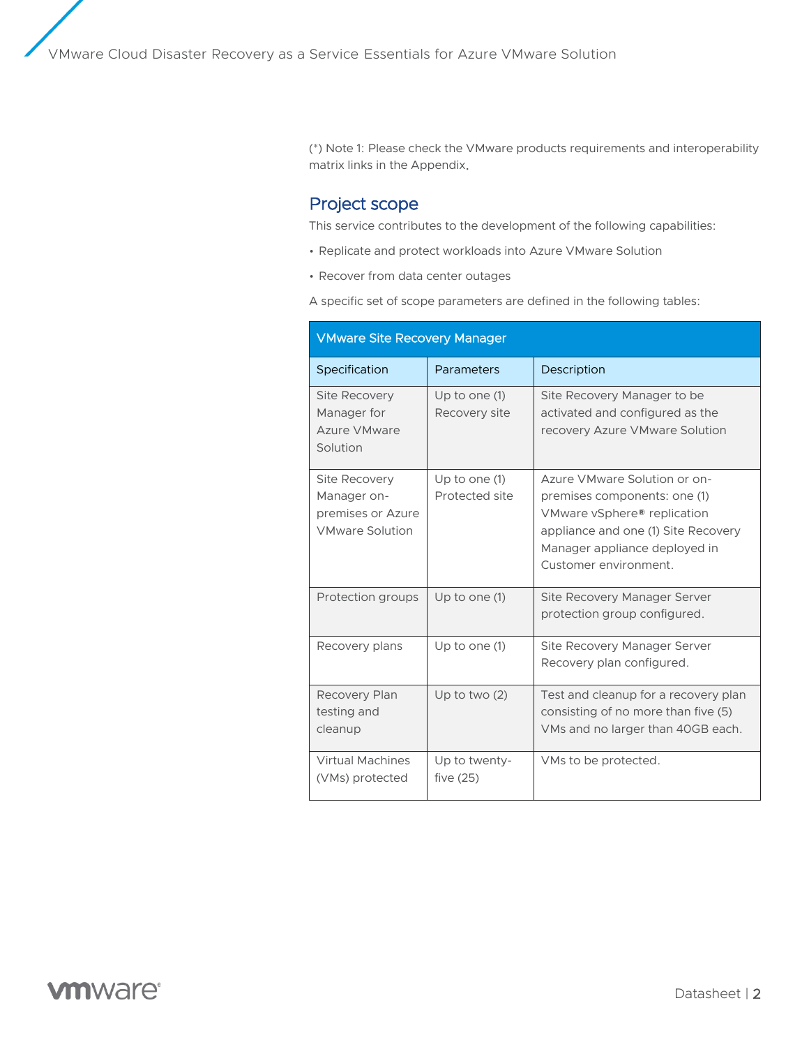(\*) Note 1: Please check the VMware products requirements and interoperability matrix links in the Appendix.

## Project scope

This service contributes to the development of the following capabilities:

- Replicate and protect workloads into Azure VMware Solution
- Recover from data center outages

A specific set of scope parameters are defined in the following tables:

| <b>VMware Site Recovery Manager</b>                                                |                                   |                                                                                                                                                                                              |
|------------------------------------------------------------------------------------|-----------------------------------|----------------------------------------------------------------------------------------------------------------------------------------------------------------------------------------------|
| Specification                                                                      | Parameters                        | Description                                                                                                                                                                                  |
| <b>Site Recovery</b><br>Manager for<br>Azure VMware<br>Solution                    | Up to one $(1)$<br>Recovery site  | Site Recovery Manager to be<br>activated and configured as the<br>recovery Azure VMware Solution                                                                                             |
| <b>Site Recovery</b><br>Manager on-<br>premises or Azure<br><b>VMware Solution</b> | Up to one $(1)$<br>Protected site | Azure VMware Solution or on-<br>premises components: one (1)<br>VMware vSphere® replication<br>appliance and one (1) Site Recovery<br>Manager appliance deployed in<br>Customer environment. |
| Protection groups                                                                  | Up to one $(1)$                   | Site Recovery Manager Server<br>protection group configured.                                                                                                                                 |
| Recovery plans                                                                     | Up to one $(1)$                   | Site Recovery Manager Server<br>Recovery plan configured.                                                                                                                                    |
| Recovery Plan<br>testing and<br>cleanup                                            | Up to two $(2)$                   | Test and cleanup for a recovery plan<br>consisting of no more than five (5)<br>VMs and no larger than 40GB each.                                                                             |
| <b>Virtual Machines</b><br>(VMs) protected                                         | Up to twenty-<br>five $(25)$      | VMs to be protected.                                                                                                                                                                         |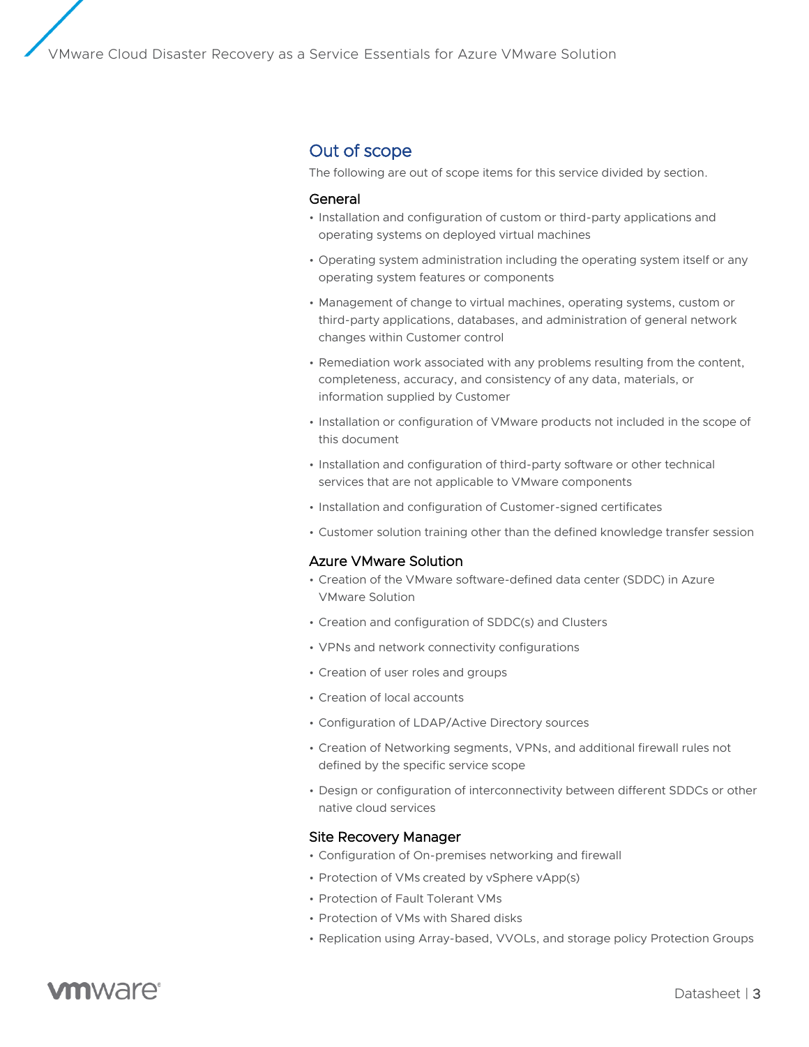## Out of scope

The following are out of scope items for this service divided by section.

#### General

- Installation and configuration of custom or third-party applications and operating systems on deployed virtual machines
- Operating system administration including the operating system itself or any operating system features or components
- Management of change to virtual machines, operating systems, custom or third-party applications, databases, and administration of general network changes within Customer control
- Remediation work associated with any problems resulting from the content, completeness, accuracy, and consistency of any data, materials, or information supplied by Customer
- Installation or configuration of VMware products not included in the scope of this document
- Installation and configuration of third-party software or other technical services that are not applicable to VMware components
- Installation and configuration of Customer-signed certificates
- Customer solution training other than the defined knowledge transfer session

#### Azure VMware Solution

- Creation of the VMware software-defined data center (SDDC) in Azure VMware Solution
- Creation and configuration of SDDC(s) and Clusters
- VPNs and network connectivity configurations
- Creation of user roles and groups
- Creation of local accounts
- Configuration of LDAP/Active Directory sources
- Creation of Networking segments, VPNs, and additional firewall rules not defined by the specific service scope
- Design or configuration of interconnectivity between different SDDCs or other native cloud services

#### Site Recovery Manager

- Configuration of On-premises networking and firewall
- Protection of VMs created by vSphere vApp(s)
- Protection of Fault Tolerant VMs
- Protection of VMs with Shared disks
- Replication using Array-based, VVOLs, and storage policy Protection Groups

# **vm**ware<sup>®</sup>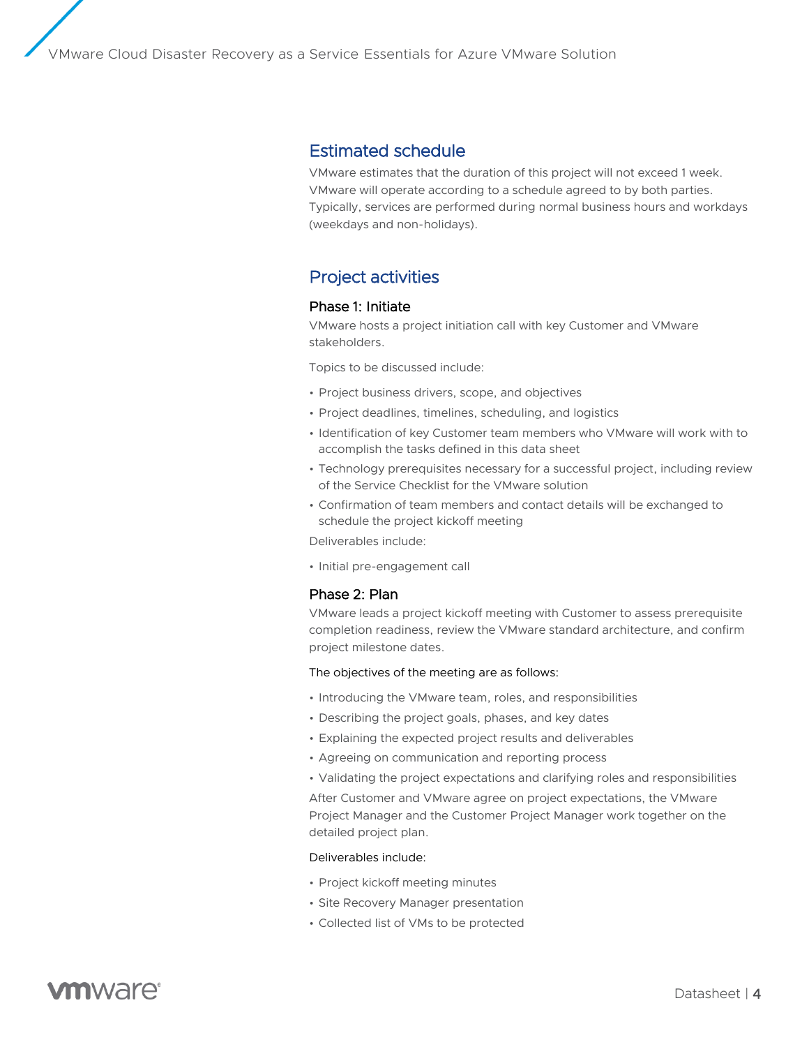## Estimated schedule

VMware estimates that the duration of this project will not exceed 1 week. VMware will operate according to a schedule agreed to by both parties. Typically, services are performed during normal business hours and workdays (weekdays and non-holidays).

## Project activities

#### Phase 1: Initiate

VMware hosts a project initiation call with key Customer and VMware stakeholders.

Topics to be discussed include:

- Project business drivers, scope, and objectives
- Project deadlines, timelines, scheduling, and logistics
- Identification of key Customer team members who VMware will work with to accomplish the tasks defined in this data sheet
- Technology prerequisites necessary for a successful project, including review of the Service Checklist for the VMware solution
- Confirmation of team members and contact details will be exchanged to schedule the project kickoff meeting

Deliverables include:

• Initial pre-engagement call

#### Phase 2: Plan

VMware leads a project kickoff meeting with Customer to assess prerequisite completion readiness, review the VMware standard architecture, and confirm project milestone dates.

#### The objectives of the meeting are as follows:

- Introducing the VMware team, roles, and responsibilities
- Describing the project goals, phases, and key dates
- Explaining the expected project results and deliverables
- Agreeing on communication and reporting process
- Validating the project expectations and clarifying roles and responsibilities

After Customer and VMware agree on project expectations, the VMware Project Manager and the Customer Project Manager work together on the detailed project plan.

#### Deliverables include:

- Project kickoff meeting minutes
- Site Recovery Manager presentation
- Collected list of VMs to be protected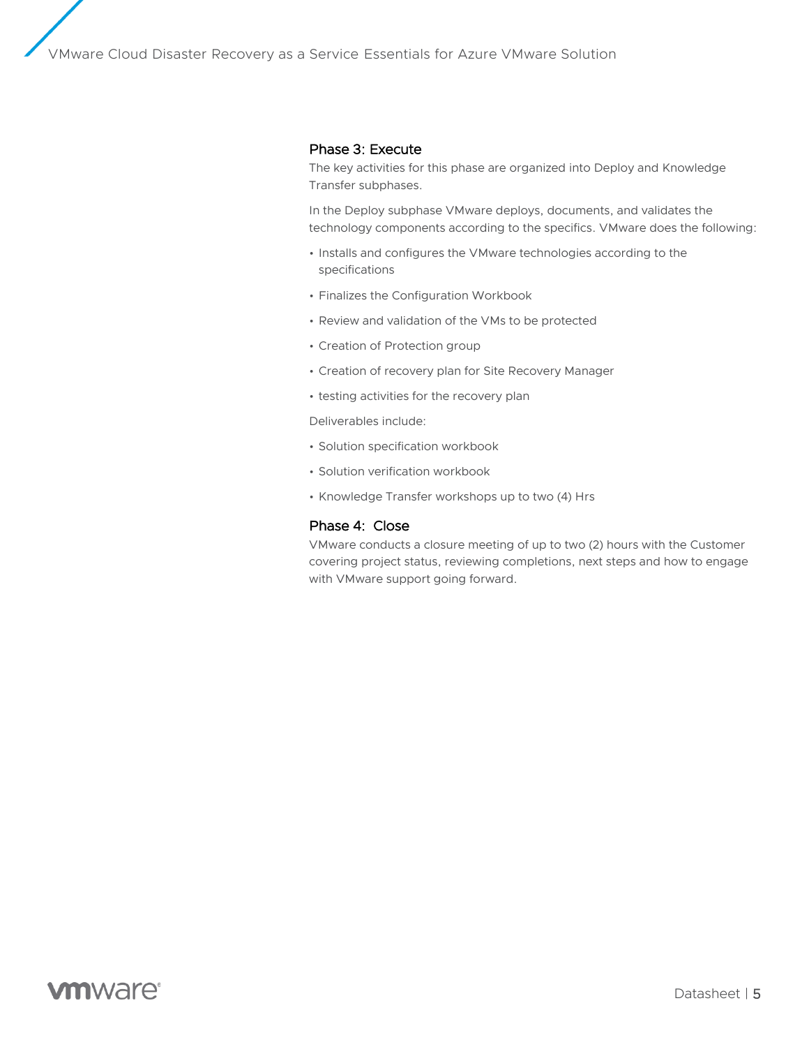#### Phase 3: Execute

The key activities for this phase are organized into Deploy and Knowledge Transfer subphases.

In the Deploy subphase VMware deploys, documents, and validates the technology components according to the specifics. VMware does the following:

- Installs and configures the VMware technologies according to the specifications
- Finalizes the Configuration Workbook
- Review and validation of the VMs to be protected
- Creation of Protection group
- Creation of recovery plan for Site Recovery Manager
- testing activities for the recovery plan

Deliverables include:

- Solution specification workbook
- Solution verification workbook
- Knowledge Transfer workshops up to two (4) Hrs

#### Phase 4: Close

VMware conducts a closure meeting of up to two (2) hours with the Customer covering project status, reviewing completions, next steps and how to engage with VMware support going forward.

# **vm**ware<sup>®</sup>